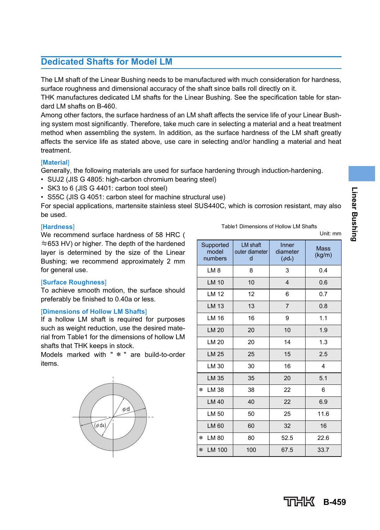The LM shaft of the Linear Bushing needs to be manufactured with much consideration for hardness, surface roughness and dimensional accuracy of the shaft since balls roll directly on it.

THK manufactures dedicated LM shafts for the Linear Bushing. See the specification table for standard LM shafts on B-460.

Among other factors, the surface hardness of an LM shaft affects the service life of your Linear Bushing system most significantly. Therefore, take much care in selecting a material and a heat treatment method when assembling the system. In addition, as the surface hardness of the LM shaft greatly affects the service life as stated above, use care in selecting and/or handling a material and heat treatment.

#### [**Material**]

Generally, the following materials are used for surface hardening through induction-hardening.

- SUJ2 (JIS G 4805: high-carbon chromium bearing steel)
- SK3 to 6 (JIS G 4401: carbon tool steel)
- S55C (JIS G 4051: carbon steel for machine structural use)

For special applications, martensite stainless steel SUS440C, which is corrosion resistant, may also be used.

#### [**Hardness**]

We recommend surface hardness of 58 HRC ( ≒653 HV) or higher. The depth of the hardened layer is determined by the size of the Linear Bushing; we recommend approximately 2 mm for general use.

#### [**Surface Roughness**]

To achieve smooth motion, the surface should preferably be finished to 0.40a or less.

#### [**Dimensions of Hollow LM Shafts**]

If a hollow LM shaft is required for purposes such as weight reduction, use the desired material from Table1 for the dimensions of hollow LM shafts that THK keeps in stock.

Models marked with " \* " are build-to-order items.



Table1 Dimensions of Hollow LM Shafts

Unit: mm

| Supported<br>model<br>numbers | LM shaft<br>outer diameter<br>d | Inner<br>diameter<br>$(\phi d_4)$ | <b>Mass</b><br>(kg/m) |  |  |  |  |
|-------------------------------|---------------------------------|-----------------------------------|-----------------------|--|--|--|--|
| LM <sub>8</sub>               | 8                               | 3                                 | 0.4                   |  |  |  |  |
| LM 10                         | 10                              | $\overline{\mathbf{4}}$           | 0.6                   |  |  |  |  |
| LM 12                         | 12                              | 6                                 | 0.7                   |  |  |  |  |
| LM 13                         | 13                              | $\overline{7}$                    | 0.8                   |  |  |  |  |
| LM 16                         | 16                              | 9                                 | 1.1                   |  |  |  |  |
| LM 20                         | 20                              | 10                                | 1.9                   |  |  |  |  |
| LM 20                         | 20                              | 14                                | 1.3                   |  |  |  |  |
| <b>LM 25</b>                  | 25                              | 15                                | 2.5                   |  |  |  |  |
| LM 30                         | 30                              | 16                                | 4                     |  |  |  |  |
| LM 35                         | 35                              | 20                                | 5.1                   |  |  |  |  |
| LM 38<br>*                    | 38                              | 22                                | 6                     |  |  |  |  |
| LM 40                         | 40                              | 22                                | 6.9                   |  |  |  |  |
| LM 50                         | 50                              | 25                                | 11.6                  |  |  |  |  |
| LM 60                         | 60                              | 32                                | 16                    |  |  |  |  |
| LM 80<br>$\ast$               | 80                              | 52.5                              | 22.6                  |  |  |  |  |
| LM 100<br>$\ast$              | 100                             | 67.5                              | 33.7                  |  |  |  |  |

**B-459**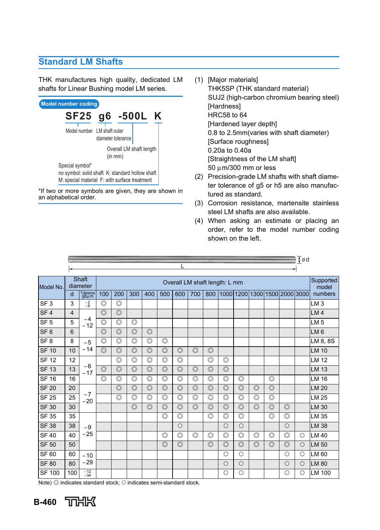## **Standard LM Shafts**

THK manufactures high quality, dedicated LM shafts for Linear Bushing model LM series.



\*If two or more symbols are given, they are shown in an alphabetical order.

- (1) [Major materials] THK5SP (THK standard material) SUJ2 (high-carbon chromium bearing steel) [Hardness] HRC58 to 64 [Hardened layer depth] 0.8 to 2.5mm(varies with shaft diameter) [Surface roughness] 0.20a to 0.40a [Straightness of the LM shaft] 50 μm/300 mm or less
- (2) Precision-grade LM shafts with shaft diameter tolerance of g5 or h5 are also manufactured as standard.
- (3) Corrosion resistance, martensite stainless steel LM shafts are also available.
- (4) When asking an estimate or placing an order, refer to the model number coding shown on the left.

|                 |                |                   |                               |                |                |                |                |                |                | ‡ød            |                         |                               |                |                |                |            |                 |
|-----------------|----------------|-------------------|-------------------------------|----------------|----------------|----------------|----------------|----------------|----------------|----------------|-------------------------|-------------------------------|----------------|----------------|----------------|------------|-----------------|
|                 |                |                   |                               |                |                |                |                |                |                |                |                         |                               |                |                |                |            |                 |
| Model No.       |                | Shaft<br>diameter | Overall LM shaft length: L mm |                |                |                |                |                |                |                | Supported<br>model      |                               |                |                |                |            |                 |
|                 | d              | Tolerance<br>g6µm | 100                           | 200            | 300            | 400            | 500            | 600            | 700            | 800            |                         | 10001120011300115001200013000 |                |                |                |            | numbers         |
| SF <sub>3</sub> | 3              | $\frac{-2}{-8}$   | $\circledcirc$                | $\circledcirc$ |                |                |                |                |                |                |                         |                               |                |                |                |            | LM <sub>3</sub> |
| SF <sub>4</sub> | $\overline{4}$ |                   | $\circledcirc$                | $\circledcirc$ |                |                |                |                |                |                |                         |                               |                |                |                |            | LM <sub>4</sub> |
| SF <sub>5</sub> | 5              | $-4$<br>$-12$     | $\circledcirc$                | $\circledcirc$ | $\circledcirc$ |                |                |                |                |                |                         |                               |                |                |                |            | LM <sub>5</sub> |
| SF <sub>6</sub> | 6              |                   | $\circledcirc$                | $\circledcirc$ | $\circledcirc$ | $\circledcirc$ |                |                |                |                |                         |                               |                |                |                |            | LM <sub>6</sub> |
| SF <sub>8</sub> | 8              | $-5$              | $\circledcirc$                | $\circledcirc$ | $\circledcirc$ | $\circledcirc$ | $\circledcirc$ |                |                |                |                         |                               |                |                |                |            | LM 8, 8S        |
| <b>SF 10</b>    | 10             | $-14$             | $\circledcirc$                | $\circledcirc$ | $\circledcirc$ | $\circledcirc$ | $\circledcirc$ | $\circledcirc$ | $\circledcirc$ | $\circledcirc$ |                         |                               |                |                |                |            | <b>LM 10</b>    |
| <b>SF 12</b>    | 12             |                   |                               | $\circledcirc$ | $\circledcirc$ | $\circledcirc$ | $\circledcirc$ | $\circledcirc$ |                | $\circledcirc$ | $\circledcirc$          |                               |                |                |                |            | <b>LM 12</b>    |
| <b>SF 13</b>    | 13             | $-6$<br>$-17$     | $\circledcirc$                | $\circledcirc$ | $\circledcirc$ | $\circledcirc$ | $\circledcirc$ | $\circledcirc$ | $\circledcirc$ | $\circledcirc$ | $\circledcirc$          |                               |                |                |                |            | <b>LM 13</b>    |
| <b>SF 16</b>    | 16             |                   | $\circledcirc$                | $\circledcirc$ | $\circledcirc$ | $\circledcirc$ | $\circledcirc$ | $\circledcirc$ | $\circledcirc$ | $\circledcirc$ | $\circledcirc$          | $\circledcirc$                |                | $\circledcirc$ |                |            | LM 16           |
| <b>SF 20</b>    | 20             |                   |                               | $\circledcirc$ | $\circledcirc$ | $\circledcirc$ | $\circledcirc$ | $\circledcirc$ | $\circledcirc$ | $\circledcirc$ | $\overline{\mathbb{O}}$ | $\circledcirc$                | $\circledcirc$ | $\circledcirc$ |                |            | <b>LM 20</b>    |
| <b>SF 25</b>    | 25             | $-7$<br>$-20$     |                               | $\circledcirc$ | $\circledcirc$ | $\circledcirc$ | $\circledcirc$ | $\circledcirc$ | $\circledcirc$ | $\circledcirc$ | $\circledcirc$          | $\circledcirc$                | $\circledcirc$ | $\circledcirc$ |                |            | LM 25           |
| <b>SF 30</b>    | 30             |                   |                               |                | $\circledcirc$ | $\circledcirc$ | $\circledcirc$ | $\circledcirc$ | $\circledcirc$ | $\circledcirc$ | $\circledcirc$          | $\circledcirc$                | $\circledcirc$ | $\circledcirc$ | $\circledcirc$ |            | <b>LM 30</b>    |
| <b>SF 35</b>    | 35             |                   |                               |                |                |                | $\circledcirc$ | $\circledcirc$ |                | $\circledcirc$ | $\circledcirc$          | $\circledcirc$                |                | $\circledcirc$ | $\circledcirc$ |            | LM 35           |
| <b>SF 38</b>    | 38             | $-9$              |                               |                |                |                |                | $\circ$        |                |                | $\circ$                 | $\circ$                       |                |                | $\circ$        |            | <b>LM 38</b>    |
| <b>SF40</b>     | 40             | $-25$             |                               |                |                |                | $\circledcirc$ | $\circledcirc$ | $\circledcirc$ | $\circledcirc$ | $\circledcirc$          | $\circledcirc$                | $\circledcirc$ | $\circledcirc$ | $\circledcirc$ | $\bigcirc$ | LM 40           |
| <b>SF 50</b>    | 50             |                   |                               |                |                |                | $\circledcirc$ | $\circledcirc$ |                | $\circledcirc$ | $\overline{\mathbb{O}}$ | $\overline{\mathbb{O}}$       | $\circledcirc$ | $\circledcirc$ | $\circledcirc$ | $\bigcirc$ | <b>LM 50</b>    |
| SF 60           | 60             | $-10$             |                               |                |                |                |                |                |                |                | $\circ$                 | $\circ$                       |                |                | $\circ$        | $\circ$    | LM 60           |
| <b>SF 80</b>    | 80             | $-29$             |                               |                |                |                |                |                |                |                | $\circ$                 | $\circ$                       |                |                | $\circ$        | $\bigcirc$ | <b>LM 80</b>    |
| <b>SF 100</b>   | 100            | $-12$<br>$-34$    |                               |                |                |                |                |                |                |                | $\bigcirc$              | $\circ$                       |                |                | Ο              | $\bigcirc$ | LM 100          |

Note) ◎ indicates standard stock; ○ indicates semi-standard stock.